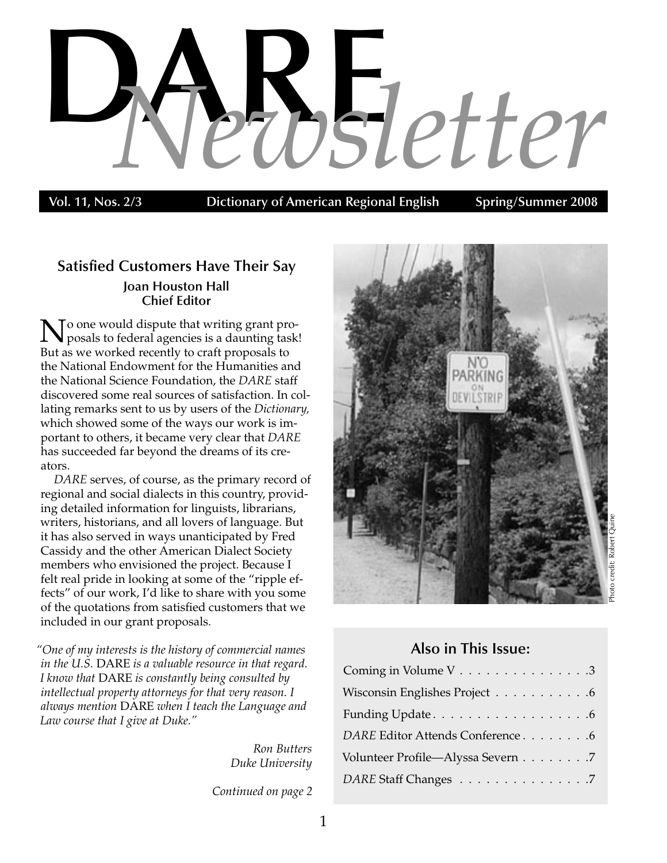# **Value 12 COSLETTER**

**Dictionary of American Regional English** 

## **Satisfied Customers Have Their Say Joan Houston Hall Chief Editor**

To one would dispute that writing grant proposals to federal agencies is a daunting task! But as we worked recently to craft proposals to the National Endowment for the Humanities and the National Science Foundation, the *DARE* staff discovered some real sources of satisfaction. In collating remarks sent to us by users of the *Dictionary,*  which showed some of the ways our work is important to others, it became very clear that *DARE* has succeeded far beyond the dreams of its creators.

*DARE* serves, of course, as the primary record of regional and social dialects in this country, providing detailed information for linguists, librarians, writers, historians, and all lovers of language. But it has also served in ways unanticipated by Fred Cassidy and the other American Dialect Society members who envisioned the project. Because I felt real pride in looking at some of the "ripple effects" of our work, I'd like to share with you some of the quotations from satisfied customers that we included in our grant proposals.

*"One of my interests is the history of commercial names in the U.S.* DARE *is a valuable resource in that regard. I know that* DARE *is constantly being consulted by intellectual property attorneys for that very reason. I always mention* DARE *when I teach the Language and Law course that I give at Duke."*

> *Ron Butters Duke University*

*Continued on page 2*



# **Also in This Issue:**

| Coming in Volume V 3              |
|-----------------------------------|
| Wisconsin Englishes Project 6     |
|                                   |
| DARE Editor Attends Conference 6  |
| Volunteer Profile—Alyssa Severn 7 |
| DARE Staff Changes 7              |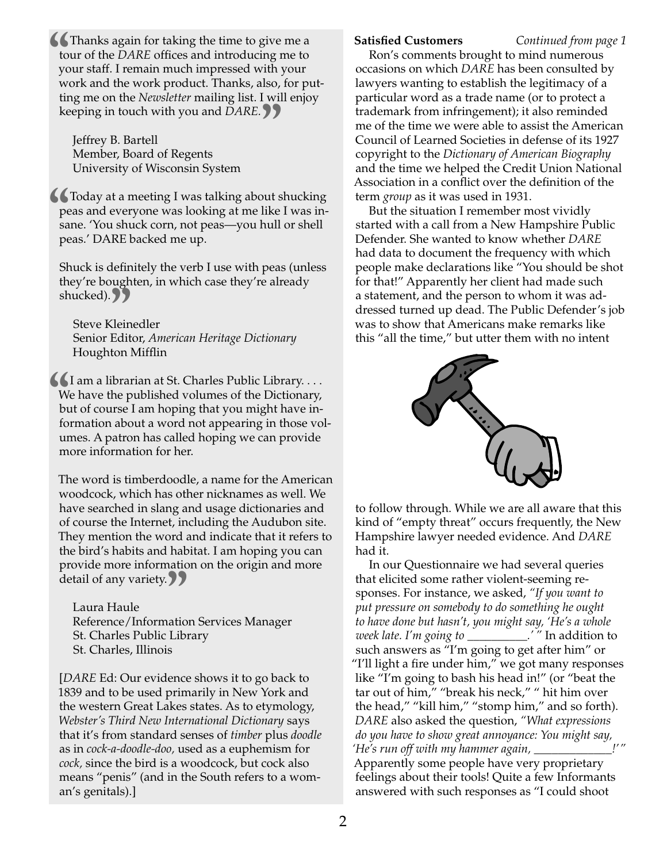**to**<br>**to**<br>**yc**<br>**w Thanks again for taking the time to give me a** tour of the *DARE* offices and introducing me to your staff. I remain much impressed with your work and the work product. Thanks, also, for putting me on the *Newsletter* mailing list. I will enjoy

keeping in touch with you and *DARE.*<br>
Jeffrey B. Bartell<br>
Member, Board of Regents Jeffrey B. Bartell Member, Board of Regents University of Wisconsin System

**Today at a meeting I was talking about shucking peas and everyone was looking at me like I was insane. 'You shuck corn, not peas—you hull or shell peas.' DARE backed me up.** peas and everyone was looking at me like I was insane. 'You shuck corn, not peas—you hull or shell peas.' DARE backed me up.

Shuck is definitely the verb I use with peas (unless they're boughten, in which case they're already shucked). 77

Steve Kleinedler uckea).<br>Steve Kleinedler<br>Senior Editor, *American Heritage Dictionary* Houghton Mifflin

I am a librarian at St. Charles Public Library. . . . We have the published volumes of the Dictionary, but of course I am hoping that you might have information about a word not appearing in those vol We have the published volumes of the Dictionary, but of course I am hoping that you might have information about a word not appearing in those volumes. A patron has called hoping we can provide more information for her.

The word is timberdoodle, a name for the American woodcock, which has other nicknames as well. We have searched in slang and usage dictionaries and of course the Internet, including the Audubon site. They mention the word and indicate that it refers to the bird's habits and habitat. I am hoping you can provide more information on the origin and more detail of any variety.

Laura Haule tan or any variety.<br>Laura Haule<br>Reference/Information Services Manager St. Charles Public Library St. Charles, Illinois

[*DARE* Ed: Our evidence shows it to go back to 1839 and to be used primarily in New York and the western Great Lakes states. As to etymology, *Webster's Third New International Dictionary* says that it's from standard senses of *timber* plus *doodle* as in *cock-a-doodle-doo,* used as a euphemism for *cock,* since the bird is a woodcock, but cock also means "penis" (and in the South refers to a woman's genitals).]

Ron's comments brought to mind numerous occasions on which *DARE* has been consulted by lawyers wanting to establish the legitimacy of a particular word as a trade name (or to protect a trademark from infringement); it also reminded me of the time we were able to assist the American Council of Learned Societies in defense of its 1927 copyright to the *Dictionary of American Biography* and the time we helped the Credit Union National Association in a conflict over the definition of the term *group* as it was used in 1931. **Satisfied Customers** *Continued from page 1*

But the situation I remember most vividly started with a call from a New Hampshire Public Defender. She wanted to know whether *DARE* had data to document the frequency with which people make declarations like "You should be shot for that!" Apparently her client had made such a statement, and the person to whom it was addressed turned up dead. The Public Defender's job was to show that Americans make remarks like this "all the time," but utter them with no intent



to follow through. While we are all aware that this kind of "empty threat" occurs frequently, the New Hampshire lawyer needed evidence. And *DARE* had it.

In our Questionnaire we had several queries that elicited some rather violent-seeming responses. For instance, we asked, *"If you want to put pressure on somebody to do something he ought to have done but hasn't, you might say, 'He's a whole week late. I'm going to \_\_\_\_\_\_\_\_\_\_.' "* In addition to such answers as "I'm going to get after him" or "I'll light a fire under him," we got many responses like "I'm going to bash his head in!" (or "beat the tar out of him," "break his neck," " hit him over the head," "kill him," "stomp him," and so forth). *DARE* also asked the question, *"What expressions do you have to show great annoyance: You might say, 'He's run off with my hammer again, \_\_\_\_\_\_\_\_\_\_\_\_\_!' "* Apparently some people have very proprietary feelings about their tools! Quite a few Informants answered with such responses as "I could shoot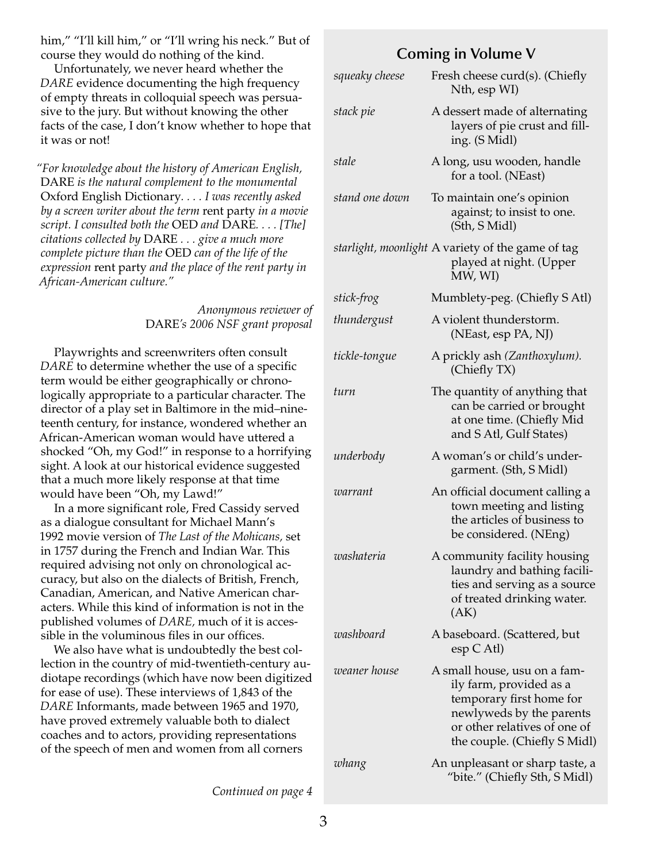him," "I'll kill him," or "I'll wring his neck." But of course they would do nothing of the kind.

Unfortunately, we never heard whether the *DARE* evidence documenting the high frequency of empty threats in colloquial speech was persuasive to the jury. But without knowing the other facts of the case, I don't know whether to hope that it was or not!

*"For knowledge about the history of American English,*  DARE *is the natural complement to the monumental*  Oxford English Dictionary*. . . . I was recently asked by a screen writer about the term* rent party *in a movie script. I consulted both the* OED *and* DARE*. . . . [The] citations collected by* DARE *. . . give a much more complete picture than the* OED *can of the life of the expression* rent party *and the place of the rent party in African-American culture."*

> *Anonymous reviewer of* DARE*'s 2006 NSF grant proposal*

Playwrights and screenwriters often consult *DARE* to determine whether the use of a specific term would be either geographically or chronologically appropriate to a particular character. The director of a play set in Baltimore in the mid–nineteenth century, for instance, wondered whether an African-American woman would have uttered a shocked "Oh, my God!" in response to a horrifying sight. A look at our historical evidence suggested that a much more likely response at that time would have been "Oh, my Lawd!"

In a more significant role, Fred Cassidy served as a dialogue consultant for Michael Mann's 1992 movie version of *The Last of the Mohicans,* set in 1757 during the French and Indian War. This required advising not only on chronological accuracy, but also on the dialects of British, French, Canadian, American, and Native American characters. While this kind of information is not in the published volumes of *DARE,* much of it is accessible in the voluminous files in our offices.

We also have what is undoubtedly the best collection in the country of mid-twentieth-century audiotape recordings (which have now been digitized for ease of use). These interviews of 1,843 of the *DARE* Informants, made between 1965 and 1970, have proved extremely valuable both to dialect coaches and to actors, providing representations of the speech of men and women from all corners

## **Coming in Volume V**

| squeaky cheese | Fresh cheese curd(s). (Chiefly<br>Nth, esp WI)                                                                                                                                  |
|----------------|---------------------------------------------------------------------------------------------------------------------------------------------------------------------------------|
| stack pie      | A dessert made of alternating<br>layers of pie crust and fill-<br>ing. (S Midl)                                                                                                 |
| stale          | A long, usu wooden, handle<br>for a tool. (NEast)                                                                                                                               |
| stand one down | To maintain one's opinion<br>against; to insist to one.<br>(Sth, S Midl)                                                                                                        |
|                | starlight, moonlight A variety of the game of tag<br>played at night. (Upper<br>MW, WI)                                                                                         |
| stick-frog     | Mumblety-peg. (Chiefly S Atl)                                                                                                                                                   |
| thundergust    | A violent thunderstorm.<br>(NEast, esp PA, NJ)                                                                                                                                  |
| tickle-tongue  | A prickly ash (Zanthoxylum).<br>(Chiefly TX)                                                                                                                                    |
| turn           | The quantity of anything that<br>can be carried or brought<br>at one time. (Chiefly Mid<br>and S Atl, Gulf States)                                                              |
| underbody      | A woman's or child's under-<br>garment. (Sth, S Midl)                                                                                                                           |
| warrant        | An official document calling a<br>town meeting and listing<br>the articles of business to<br>be considered. (NEng)                                                              |
| washateria     | A community facility housing<br>laundry and bathing facili-<br>ties and serving as a source<br>of treated drinking water.<br>(AK)                                               |
| washboard      | A baseboard. (Scattered, but<br>$\exp C$ Atl)                                                                                                                                   |
| weaner house   | A small house, usu on a fam-<br>ily farm, provided as a<br>temporary first home for<br>newlyweds by the parents<br>or other relatives of one of<br>the couple. (Chiefly S Midl) |
| whang          | An unpleasant or sharp taste, a<br>"bite." (Chiefly Sth, S Midl)                                                                                                                |

*Continued on page 4*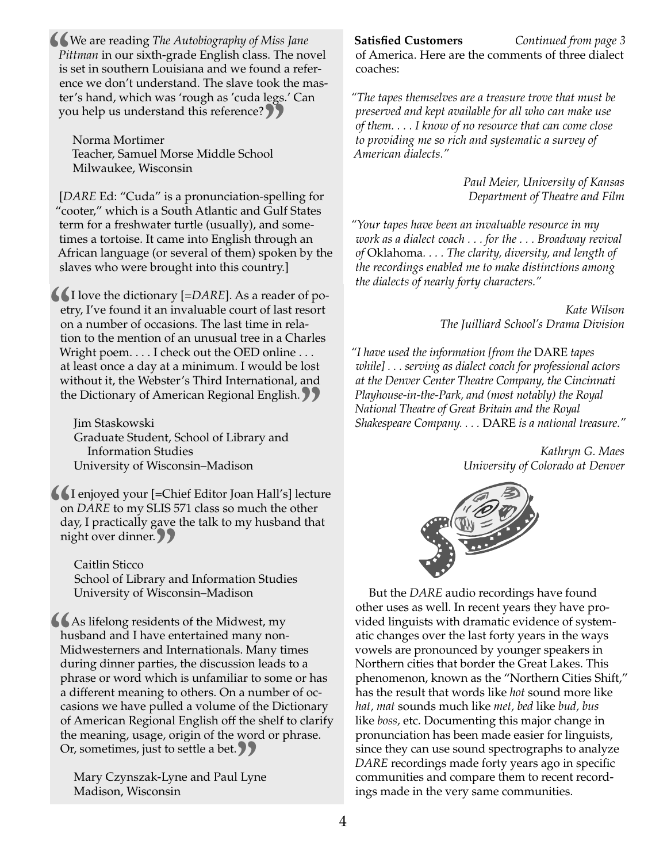**EXALC** We are reading *The Autobiography of Miss Jane Pittman* in our sixth-grade English class. The notice is set in southern Louisiana and we found a reference we don't understand. The slave took the m *Pittman* in our sixth-grade English class. The novel is set in southern Louisiana and we found a reference we don't understand. The slave took the master's hand, which was 'rough as 'cuda legs.' Can

you help us understand this reference?<br>Norma Mortimer<br>Teacher, Samuel Morse Middle School Norma Mortimer Teacher, Samuel Morse Middle School Milwaukee, Wisconsin

[*DARE* Ed: "Cuda" is a pronunciation-spelling for "cooter," which is a South Atlantic and Gulf States term for a freshwater turtle (usually), and sometimes a tortoise. It came into English through an African language (or several of them) spoken by the slaves who were brought into this country.]

**I** love the dictionary [=*DARE*]. As a reader of po-<br>
etry, I've found it an invaluable court of last resort<br>
on a number of occasions. The last time in rela-<br>
tion to the mention of an unusual tree in a Charles etry, I've found it an invaluable court of last resort on a number of occasions. The last time in relation to the mention of an unusual tree in a Charles Wright poem. . . . I check out the OED online . . . at least once a day at a minimum. I would be lost without it, the Webster's Third International, and

the Dictionary of American Regional English.<br>
Jim Staskowski<br>
Graduate Student, School of Library and Jim Staskowski Graduate Student, School of Library and Information Studies University of Wisconsin–Madison

**or**<br>**da**<br>**ni** I enjoyed your [=Chief Editor Joan Hall's] lecture on *DARE* to my SLIS 571 class so much the other day, I practically gave the talk to my husband that night over dinner.

Caitlin Sticco <sub>ght over amner.<br>Caitlin Sticco<br>School of Library and Information Studies</sub> University of Wisconsin–Madison

As lifelong residents of the Midwest, my<br>
husband and I have entertained many non-<br>
Midwesterners and Internationals. Many time<br>
during dinner parties, the discussion leads husband and I have entertained many non-Midwesterners and Internationals. Many times during dinner parties, the discussion leads to a phrase or word which is unfamiliar to some or has a different meaning to others. On a number of occasions we have pulled a volume of the Dictionary of American Regional English off the shelf to clarify the meaning, usage, origin of the word or phrase. Or, sometimes, just to settle a bet.

Mary Czynszak-Lyne and Paul Lyne **"**<br>Lyr Madison, Wisconsin

#### **Satisfied Customers** *Continued from page 3*

of America. Here are the comments of three dialect coaches:

*"The tapes themselves are a treasure trove that must be preserved and kept available for all who can make use of them. . . . I know of no resource that can come close to providing me so rich and systematic a survey of American dialects."*

> *Paul Meier, University of Kansas Department of Theatre and Film*

*"Your tapes have been an invaluable resource in my work as a dialect coach . . . for the . . . Broadway revival of* Oklahoma*. . . . The clarity, diversity, and length of the recordings enabled me to make distinctions among the dialects of nearly forty characters."*

> *Kate Wilson The Juilliard School's Drama Division*

*"I have used the information [from the* DARE *tapes while] . . . serving as dialect coach for professional actors at the Denver Center Theatre Company, the Cincinnati Playhouse-in-the-Park, and (most notably) the Royal National Theatre of Great Britain and the Royal Shakespeare Company. . . .* DARE *is a national treasure."* 

> *Kathryn G. Maes University of Colorado at Denver*



But the *DARE* audio recordings have found other uses as well. In recent years they have provided linguists with dramatic evidence of systematic changes over the last forty years in the ways vowels are pronounced by younger speakers in Northern cities that border the Great Lakes. This phenomenon, known as the "Northern Cities Shift," has the result that words like *hot* sound more like *hat, mat* sounds much like *met, bed* like *bud, bus* like *boss,* etc. Documenting this major change in pronunciation has been made easier for linguists, since they can use sound spectrographs to analyze *DARE* recordings made forty years ago in specific communities and compare them to recent recordings made in the very same communities.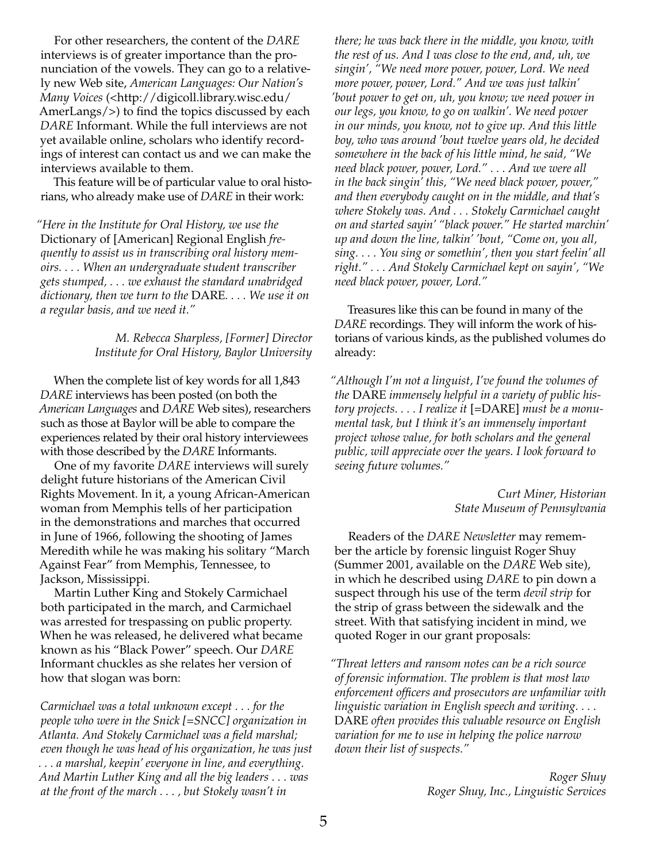For other researchers, the content of the *DARE* interviews is of greater importance than the pronunciation of the vowels. They can go to a relatively new Web site, *American Languages: Our Nation's Many Voices* (<http://digicoll.library.wisc.edu/ AmerLangs/>) to find the topics discussed by each *DARE* Informant. While the full interviews are not yet available online, scholars who identify recordings of interest can contact us and we can make the interviews available to them.

This feature will be of particular value to oral historians, who already make use of *DARE* in their work:

*"Here in the Institute for Oral History, we use the*  Dictionary of [American] Regional English *frequently to assist us in transcribing oral history memoirs. . . . When an undergraduate student transcriber gets stumped, . . . we exhaust the standard unabridged dictionary, then we turn to the* DARE*. . . . We use it on a regular basis, and we need it."*

> *M. Rebecca Sharpless, [Former] Director Institute for Oral History, Baylor University*

When the complete list of key words for all 1,843 *DARE* interviews has been posted (on both the *American Languages* and *DARE* Web sites), researchers such as those at Baylor will be able to compare the experiences related by their oral history interviewees with those described by the *DARE* Informants.

One of my favorite *DARE* interviews will surely delight future historians of the American Civil Rights Movement. In it, a young African-American woman from Memphis tells of her participation in the demonstrations and marches that occurred in June of 1966, following the shooting of James Meredith while he was making his solitary "March Against Fear" from Memphis, Tennessee, to Jackson, Mississippi.

Martin Luther King and Stokely Carmichael both participated in the march, and Carmichael was arrested for trespassing on public property. When he was released, he delivered what became known as his "Black Power" speech. Our *DARE* Informant chuckles as she relates her version of how that slogan was born:

*Carmichael was a total unknown except . . . for the people who were in the Snick [=SNCC] organization in Atlanta. And Stokely Carmichael was a field marshal; even though he was head of his organization, he was just . . . a marshal, keepin' everyone in line, and everything. And Martin Luther King and all the big leaders . . . was at the front of the march . . . , but Stokely wasn't in* 

*there; he was back there in the middle, you know, with the rest of us. And I was close to the end, and, uh, we singin', "We need more power, power, Lord. We need more power, power, Lord." And we was just talkin' 'bout power to get on, uh, you know; we need power in our legs, you know, to go on walkin'. We need power in our minds, you know, not to give up. And this little boy, who was around 'bout twelve years old, he decided somewhere in the back of his little mind, he said, "We need black power, power, Lord." . . . And we were all in the back singin' this, "We need black power, power," and then everybody caught on in the middle, and that's where Stokely was. And . . . Stokely Carmichael caught on and started sayin' "black power." He started marchin' up and down the line, talkin' 'bout, "Come on, you all, sing. . . . You sing or somethin', then you start feelin' all right." . . . And Stokely Carmichael kept on sayin', "We need black power, power, Lord."*

Treasures like this can be found in many of the *DARE* recordings. They will inform the work of historians of various kinds, as the published volumes do already:

*"Although I'm not a linguist, I've found the volumes of the* DARE *immensely helpful in a variety of public history projects. . . . I realize it* [=DARE] *must be a monumental task, but I think it's an immensely important project whose value, for both scholars and the general public, will appreciate over the years. I look forward to seeing future volumes."*

> *Curt Miner, Historian State Museum of Pennsylvania*

Readers of the *DARE Newsletter* may remember the article by forensic linguist Roger Shuy (Summer 2001, available on the *DARE* Web site), in which he described using *DARE* to pin down a suspect through his use of the term *devil strip* for the strip of grass between the sidewalk and the street. With that satisfying incident in mind, we quoted Roger in our grant proposals:

*"Threat letters and ransom notes can be a rich source of forensic information. The problem is that most law enforcement officers and prosecutors are unfamiliar with linguistic variation in English speech and writing. . . .*  DARE *often provides this valuable resource on English variation for me to use in helping the police narrow down their list of suspects."*

> *Roger Shuy Roger Shuy, Inc., Linguistic Services*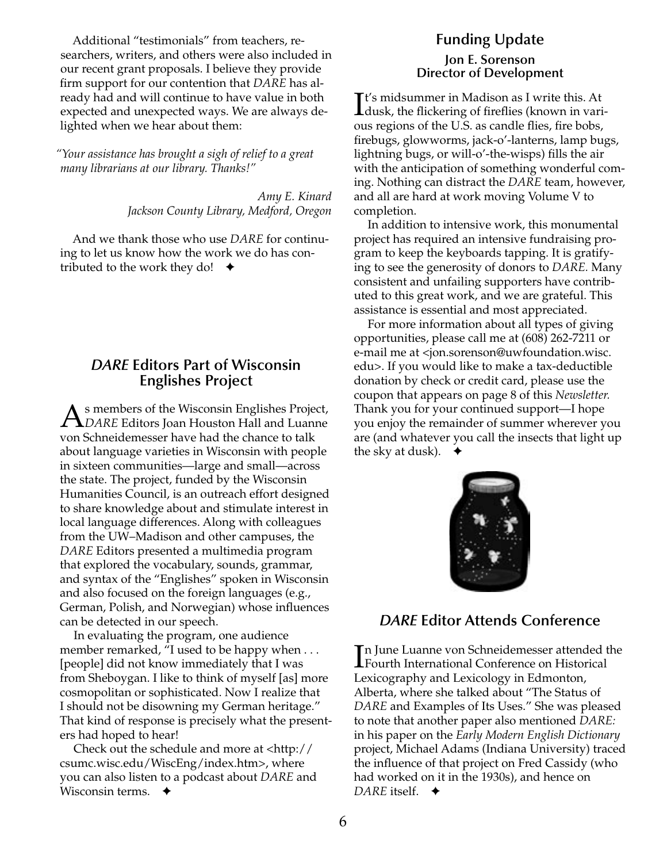Additional "testimonials" from teachers, researchers, writers, and others were also included in our recent grant proposals. I believe they provide firm support for our contention that *DARE* has already had and will continue to have value in both expected and unexpected ways. We are always delighted when we hear about them:

*"Your assistance has brought a sigh of relief to a great many librarians at our library. Thanks!"*

> *Amy E. Kinard Jackson County Library, Medford, Oregon*

And we thank those who use *DARE* for continuing to let us know how the work we do has contributed to the work they do!  $\rightarrow$ 

#### *DARE* **Editors Part of Wisconsin Englishes Project**

s members of the Wisconsin Englishes Project, *DARE* Editors Joan Houston Hall and Luanne von Schneidemesser have had the chance to talk about language varieties in Wisconsin with people in sixteen communities—large and small—across the state. The project, funded by the Wisconsin Humanities Council, is an outreach effort designed to share knowledge about and stimulate interest in local language differences. Along with colleagues from the UW–Madison and other campuses, the *DARE* Editors presented a multimedia program that explored the vocabulary, sounds, grammar, and syntax of the "Englishes" spoken in Wisconsin and also focused on the foreign languages (e.g., German, Polish, and Norwegian) whose influences can be detected in our speech.

In evaluating the program, one audience member remarked, "I used to be happy when . . . [people] did not know immediately that I was from Sheboygan. I like to think of myself [as] more cosmopolitan or sophisticated. Now I realize that I should not be disowning my German heritage." That kind of response is precisely what the presenters had hoped to hear!

Check out the schedule and more at <http:// csumc.wisc.edu/WiscEng/index.htm>, where you can also listen to a podcast about *DARE* and Wisconsin terms. **←** 

# **Funding Update**

#### **Jon E. Sorenson Director of Development**

It's midsummer in Madison as I write this. At<br>dusk, the flickering of fireflies (known in vari **L**dusk, the flickering of fireflies (known in various regions of the U.S. as candle flies, fire bobs, firebugs, glowworms, jack-o'-lanterns, lamp bugs, lightning bugs, or will-o'-the-wisps) fills the air with the anticipation of something wonderful coming. Nothing can distract the *DARE* team, however, and all are hard at work moving Volume V to completion.

In addition to intensive work, this monumental project has required an intensive fundraising program to keep the keyboards tapping. It is gratifying to see the generosity of donors to *DARE.* Many consistent and unfailing supporters have contributed to this great work, and we are grateful. This assistance is essential and most appreciated.

For more information about all types of giving opportunities, please call me at (608) 262-7211 or e-mail me at <jon.sorenson@uwfoundation.wisc. edu>. If you would like to make a tax-deductible donation by check or credit card, please use the coupon that appears on page 8 of this *Newsletter.* Thank you for your continued support—I hope you enjoy the remainder of summer wherever you are (and whatever you call the insects that light up the sky at dusk).  $\triangleleft$ 



# *DARE* **Editor Attends Conference**

In June Luanne von Schneidemesser attended t<br>Fourth International Conference on Historical n June Luanne von Schneidemesser attended the Lexicography and Lexicology in Edmonton, Alberta, where she talked about "The Status of *DARE* and Examples of Its Uses." She was pleased to note that another paper also mentioned *DARE:* in his paper on the *Early Modern English Dictionary* project, Michael Adams (Indiana University) traced the influence of that project on Fred Cassidy (who had worked on it in the 1930s), and hence on *DARE* itself. ✦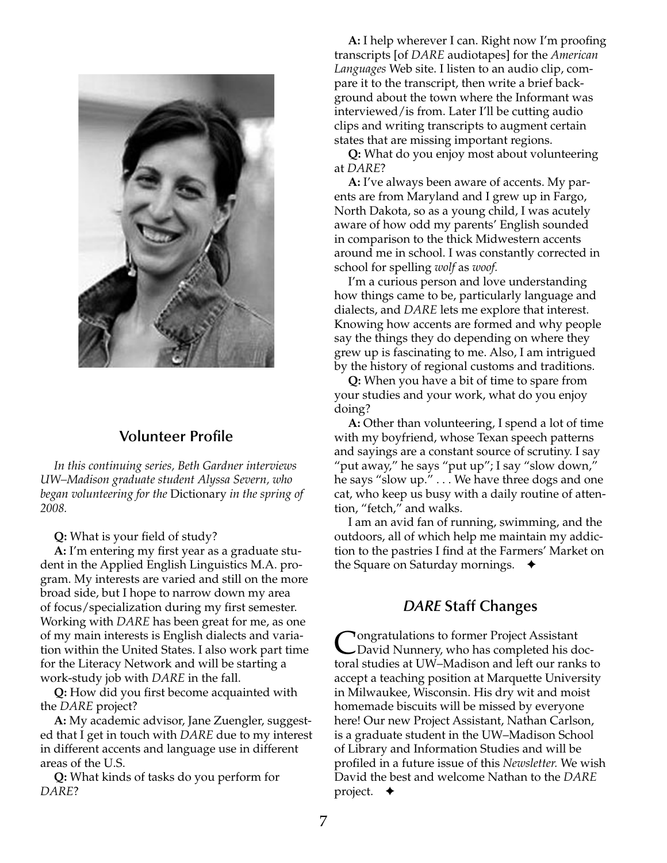

# **Volunteer Profile**

*In this continuing series, Beth Gardner interviews UW–Madison graduate student Alyssa Severn, who began volunteering for the* Dictionary *in the spring of 2008.*

**Q:** What is your field of study?

**A:** I'm entering my first year as a graduate student in the Applied English Linguistics M.A. program. My interests are varied and still on the more broad side, but I hope to narrow down my area of focus/specialization during my first semester. Working with *DARE* has been great for me, as one of my main interests is English dialects and variation within the United States. I also work part time for the Literacy Network and will be starting a work-study job with *DARE* in the fall.

**Q:** How did you first become acquainted with the *DARE* project?

**A:** My academic advisor, Jane Zuengler, suggested that I get in touch with *DARE* due to my interest in different accents and language use in different areas of the U.S.

**Q:** What kinds of tasks do you perform for *DARE*?

**A:** I help wherever I can. Right now I'm proofing transcripts [of *DARE* audiotapes] for the *American Languages* Web site. I listen to an audio clip, compare it to the transcript, then write a brief background about the town where the Informant was interviewed/is from. Later I'll be cutting audio clips and writing transcripts to augment certain states that are missing important regions.

**Q:** What do you enjoy most about volunteering at *DARE*?

**A:** I've always been aware of accents. My parents are from Maryland and I grew up in Fargo, North Dakota, so as a young child, I was acutely aware of how odd my parents' English sounded in comparison to the thick Midwestern accents around me in school. I was constantly corrected in school for spelling *wolf* as *woof.* 

I'm a curious person and love understanding how things came to be, particularly language and dialects, and *DARE* lets me explore that interest. Knowing how accents are formed and why people say the things they do depending on where they grew up is fascinating to me. Also, I am intrigued by the history of regional customs and traditions.

**Q:** When you have a bit of time to spare from your studies and your work, what do you enjoy doing?

**A:** Other than volunteering, I spend a lot of time with my boyfriend, whose Texan speech patterns and sayings are a constant source of scrutiny. I say "put away," he says "put up"; I say "slow down," he says "slow up." . . . We have three dogs and one cat, who keep us busy with a daily routine of attention, "fetch," and walks.

I am an avid fan of running, swimming, and the outdoors, all of which help me maintain my addiction to the pastries I find at the Farmers' Market on the Square on Saturday mornings.  $\triangleleft$ 

#### *DARE* **Staff Changes**

**Pongratulations to former Project Assistant** David Nunnery, who has completed his doctoral studies at UW–Madison and left our ranks to accept a teaching position at Marquette University in Milwaukee, Wisconsin. His dry wit and moist homemade biscuits will be missed by everyone here! Our new Project Assistant, Nathan Carlson, is a graduate student in the UW–Madison School of Library and Information Studies and will be profiled in a future issue of this *Newsletter.* We wish David the best and welcome Nathan to the *DARE* project. ✦